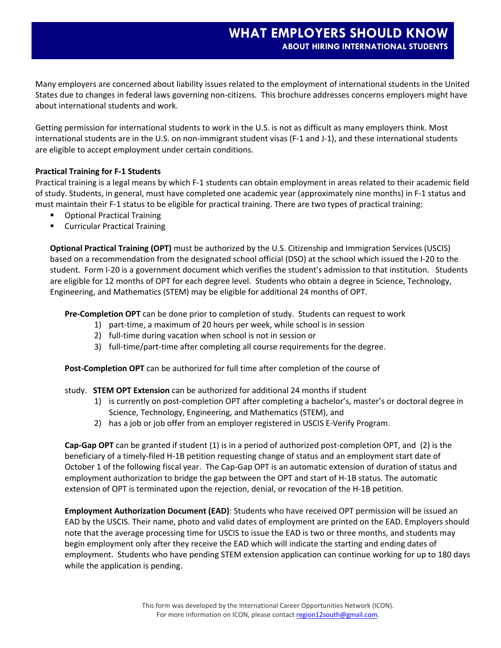Many employers are concerned about liability issues related to the employment of international students in the United States due to changes in federal laws governing non‐citizens. This brochure addresses concerns employers might have about international students and work.

Getting permission for international students to work in the U.S. is not as difficult as many employers think. Most international students are in the U.S. on non-immigrant student visas (F-1 and J-1), and these international students are eligible to accept employment under certain conditions.

## **Practical Training for F‐1 Students**

Practical training is a legal means by which F‐1 students can obtain employment in areas related to their academic field of study. Students, in general, must have completed one academic year (approximately nine months) in F‐1 status and must maintain their F‐1 status to be eligible for practical training. There are two types of practical training:

- Optional Practical Training
- **E** Curricular Practical Training

**Optional Practical Training (OPT)** must be authorized by the U.S. Citizenship and Immigration Services (USCIS) based on a recommendation from the designated school official (DSO) at the school which issued the I‐20 to the student. Form I-20 is a government document which verifies the student's admission to that institution. Students are eligible for 12 months of OPT for each degree level. Students who obtain a degree in Science, Technology, Engineering, and Mathematics (STEM) may be eligible for additional 24 months of OPT.

**Pre‐Completion OPT** can be done prior to completion of study. Students can request to work

- 1) part-time, a maximum of 20 hours per week, while school is in session
- 2) full-time during vacation when school is not in session or
- 3) full-time/part-time after completing all course requirements for the degree.

**Post‐Completion OPT** can be authorized for full time after completion of the course of

## study. **STEM OPT Extension** can be authorized for additional 24 months if student

- 1) is currently on post-completion OPT after completing a bachelor's, master's or doctoral degree in Science, Technology, Engineering, and Mathematics (STEM), and
- 2) has a job or job offer from an employer registered in USCIS E-Verify Program.

**Cap‐Gap OPT** can be granted if student (1) is in a period of authorized post‐completion OPT, and (2) is the beneficiary of a timely‐filed H‐1B petition requesting change of status and an employment start date of October 1 of the following fiscal year. The Cap-Gap OPT is an automatic extension of duration of status and employment authorization to bridge the gap between the OPT and start of H‐1B status. The automatic extension of OPT is terminated upon the rejection, denial, or revocation of the H‐1B petition.

**Employment Authorization Document (EAD)**: Students who have received OPT permission will be issued an EAD by the USCIS. Their name, photo and valid dates of employment are printed on the EAD. Employers should note that the average processing time for USCIS to issue the EAD is two or three months, and students may begin employment only after they receive the EAD which will indicate the starting and ending dates of employment. Students who have pending STEM extension application can continue working for up to 180 days while the application is pending.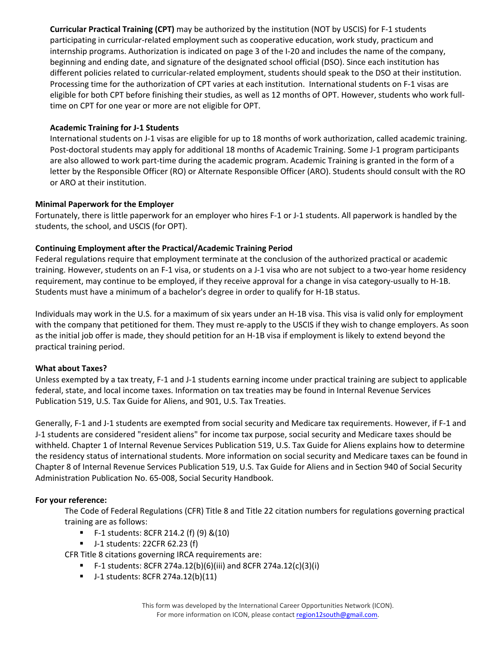**Curricular Practical Training (CPT)** may be authorized by the institution (NOT by USCIS) for F‐1 students participating in curricular-related employment such as cooperative education, work study, practicum and internship programs. Authorization is indicated on page 3 of the I‐20 and includes the name of the company, beginning and ending date, and signature of the designated school official (DSO). Since each institution has different policies related to curricular-related employment, students should speak to the DSO at their institution. Processing time for the authorization of CPT varies at each institution. International students on F‐1 visas are eligible for both CPT before finishing their studies, as well as 12 months of OPT. However, students who work full‐ time on CPT for one year or more are not eligible for OPT.

## **Academic Training for J‐1 Students**

International students on J‐1 visas are eligible for up to 18 months of work authorization, called academic training. Post-doctoral students may apply for additional 18 months of Academic Training. Some J-1 program participants are also allowed to work part‐time during the academic program. Academic Training is granted in the form of a letter by the Responsible Officer (RO) or Alternate Responsible Officer (ARO). Students should consult with the RO or ARO at their institution.

# **Minimal Paperwork for the Employer**

Fortunately, there is little paperwork for an employer who hires F‐1 or J‐1 students. All paperwork is handled by the students, the school, and USCIS (for OPT).

# **Continuing Employment after the Practical/Academic Training Period**

Federal regulations require that employment terminate at the conclusion of the authorized practical or academic training. However, students on an F‐1 visa, or students on a J‐1 visa who are not subject to a two‐year home residency requirement, may continue to be employed, if they receive approval for a change in visa category‐usually to H‐1B. Students must have a minimum of a bachelor's degree in order to qualify for H‐1B status.

Individuals may work in the U.S. for a maximum of six years under an H‐1B visa. This visa is valid only for employment with the company that petitioned for them. They must re-apply to the USCIS if they wish to change employers. As soon as the initial job offer is made, they should petition for an H‐1B visa if employment is likely to extend beyond the practical training period.

## **What about Taxes?**

Unless exempted by a tax treaty, F‐1 and J‐1 students earning income under practical training are subject to applicable federal, state, and local income taxes. Information on tax treaties may be found in Internal Revenue Services Publication 519, U.S. Tax Guide for Aliens, and 901, U.S. Tax Treaties.

Generally, F-1 and J-1 students are exempted from social security and Medicare tax requirements. However, if F-1 and J‐1 students are considered "resident aliens" for income tax purpose, social security and Medicare taxes should be withheld. Chapter 1 of Internal Revenue Services Publication 519, U.S. Tax Guide for Aliens explains how to determine the residency status of international students. More information on social security and Medicare taxes can be found in Chapter 8 of Internal Revenue Services Publication 519, U.S. Tax Guide for Aliens and in Section 940 of Social Security Administration Publication No. 65‐008, Social Security Handbook.

## **For your reference:**

The Code of Federal Regulations (CFR) Title 8 and Title 22 citation numbers for regulations governing practical training are as follows:

- F‐1 students: 8CFR 214.2 (f) (9) &(10)
- J-1 students: 22CFR 62.23 (f)

CFR Title 8 citations governing IRCA requirements are:

- F-1 students: 8CFR 274a.12(b)(6)(iii) and 8CFR 274a.12(c)(3)(i)
- J-1 students: 8CFR 274a.12(b)(11)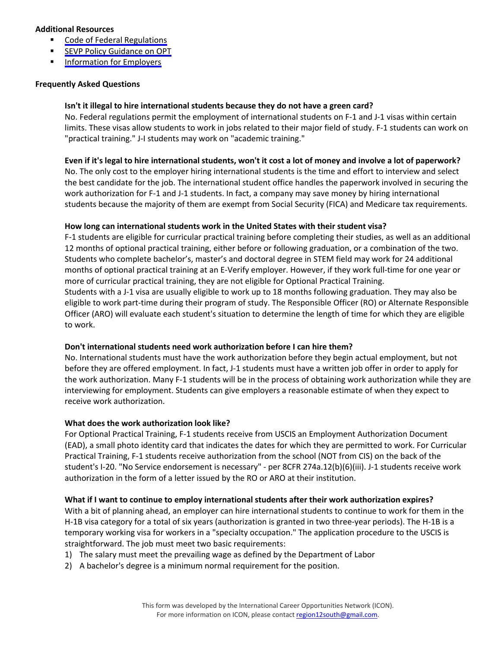#### **Additional Resources**

- **Code of Federal [Regulations](http://www.gpoaccess.gov/cfr/index.html)**
- **SEVP Policy [Guidance](http://www.ice.gov/doclib/sevis/pdf/opt_policy_guidance_04062009.pdf) on OPT**
- **[Information](http://www.ice.gov/sevis/faqs/information_employers_nonimmigrant_students.htm) for Employers**

#### **Frequently Asked Questions**

## **Isn't it illegal to hire international students because they do not have a green card?**

No. Federal regulations permit the employment of international students on F-1 and J-1 visas within certain limits. These visas allow students to work in jobs related to their major field of study. F‐1 students can work on "practical training." J-I students may work on "academic training."

#### Even if it's legal to hire international students, won't it cost a lot of money and involve a lot of paperwork?

No. The only cost to the employer hiring international students is the time and effort to interview and select the best candidate for the job. The international student office handles the paperwork involved in securing the work authorization for F-1 and J-1 students. In fact, a company may save money by hiring international students because the majority of them are exempt from Social Security (FICA) and Medicare tax requirements.

## **How long can international students work in the United States with their student visa?**

F‐1 students are eligible for curricular practical training before completing their studies, as well as an additional 12 months of optional practical training, either before or following graduation, or a combination of the two. Students who complete bachelor's, master's and doctoral degree in STEM field may work for 24 additional months of optional practical training at an E‐Verify employer. However, if they work full‐time for one year or more of curricular practical training, they are not eligible for Optional Practical Training. Students with a J‐1 visa are usually eligible to work up to 18 months following graduation. They may also be eligible to work part‐time during their program of study. The Responsible Officer (RO) or Alternate Responsible Officer (ARO) will evaluate each student's situation to determine the length of time for which they are eligible to work.

## **Don't international students need work authorization before I can hire them?**

No. International students must have the work authorization before they begin actual employment, but not before they are offered employment. In fact, J-1 students must have a written job offer in order to apply for the work authorization. Many F‐1 students will be in the process of obtaining work authorization while they are interviewing for employment. Students can give employers a reasonable estimate of when they expect to receive work authorization.

## **What does the work authorization look like?**

For Optional Practical Training, F‐1 students receive from USCIS an Employment Authorization Document (EAD), a small photo identity card that indicates the dates for which they are permitted to work. For Curricular Practical Training, F‐1 students receive authorization from the school (NOT from CIS) on the back of the student's I‐20. "No Service endorsement is necessary" ‐ per 8CFR 274a.12(b)(6)(iii). J‐1 students receive work authorization in the form of a letter issued by the RO or ARO at their institution.

#### **What if I want to continue to employ international students after their work authorization expires?**

With a bit of planning ahead, an employer can hire international students to continue to work for them in the H-1B visa category for a total of six years (authorization is granted in two three-year periods). The H-1B is a temporary working visa for workers in a "specialty occupation." The application procedure to the USCIS is straightforward. The job must meet two basic requirements:

- 1) The salary must meet the prevailing wage as defined by the Department of Labor
- 2) A bachelor's degree is a minimum normal requirement for the position.